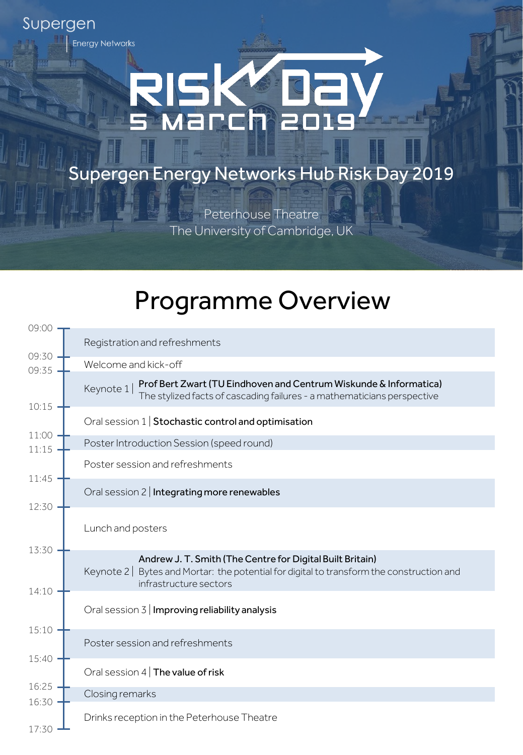## **Energy Networks** RIS March 201

Supergen

Supergen Energy Networks Hub Risk Day 2019

Peterhouse Theatre The University of Cambridge, UK

## Programme Overview

| 09:00          |                                                                                                                                                                                   |
|----------------|-----------------------------------------------------------------------------------------------------------------------------------------------------------------------------------|
|                | Registration and refreshments                                                                                                                                                     |
| 09:30<br>09:35 | Welcome and kick-off                                                                                                                                                              |
|                | Prof Bert Zwart (TU Eindhoven and Centrum Wiskunde & Informatica)<br>Keynote 1<br>The stylized facts of cascading failures - a mathematicians perspective                         |
| 10:15          | Oral session 1   Stochastic control and optimisation                                                                                                                              |
| 11:00<br>11:15 | Poster Introduction Session (speed round)                                                                                                                                         |
|                | Poster session and refreshments                                                                                                                                                   |
| 11:45<br>12:30 | Oral session 2   Integrating more renewables                                                                                                                                      |
|                | Lunch and posters                                                                                                                                                                 |
| 13:30<br>14:10 | Andrew J. T. Smith (The Centre for Digital Built Britain)<br>Bytes and Mortar: the potential for digital to transform the construction and<br>Keynote 2<br>infrastructure sectors |
|                | Oral session $3 \mid$ Improving reliability analysis                                                                                                                              |
| 15:10          | Poster session and refreshments                                                                                                                                                   |
| $15:40 -$      | Oral session $4 \mid$ The value of risk                                                                                                                                           |
| 16:25          | Closing remarks                                                                                                                                                                   |
| 16:30<br>17:30 | Drinks reception in the Peterhouse Theatre                                                                                                                                        |